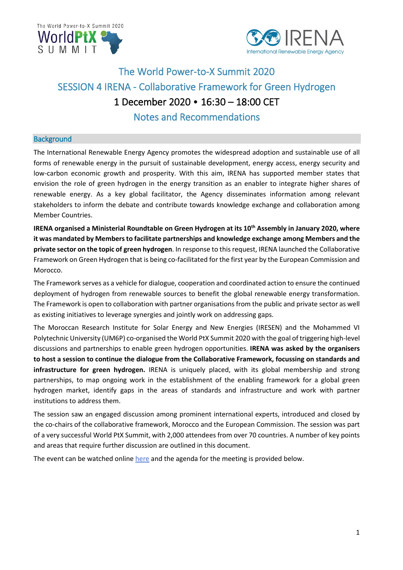



# The World Power-to-X Summit 2020 SESSION 4 IRENA - Collaborative Framework for Green Hydrogen 1 December 2020 • 16:30 – 18:00 CET Notes and Recommendations

## **Background**

The International Renewable Energy Agency promotes the widespread adoption and sustainable use of all forms of renewable energy in the pursuit of sustainable development, energy access, energy security and low-carbon economic growth and prosperity. With this aim, IRENA has supported member states that envision the role of green hydrogen in the energy transition as an enabler to integrate higher shares of renewable energy. As a key global facilitator, the Agency disseminates information among relevant stakeholders to inform the debate and contribute towards knowledge exchange and collaboration among Member Countries.

**IRENA** organised a Ministerial Roundtable on Green Hydrogen at its 10<sup>th</sup> Assembly in January 2020, where **it was mandated by Members to facilitate partnerships and knowledge exchange among Members and the private sector on the topic of green hydrogen**. In response to this request, IRENA launched the Collaborative Framework on Green Hydrogen that is being co-facilitated for the first year by the European Commission and Morocco.

The Framework serves as a vehicle for dialogue, cooperation and coordinated action to ensure the continued deployment of hydrogen from renewable sources to benefit the global renewable energy transformation. The Framework is open to collaboration with partner organisations from the public and private sector as well as existing initiatives to leverage synergies and jointly work on addressing gaps.

The Moroccan Research Institute for Solar Energy and New Energies (IRESEN) and the Mohammed VI Polytechnic University (UM6P) co-organised the World PtX Summit 2020 with the goal of triggering high-level discussions and partnerships to enable green hydrogen opportunities. **IRENA was asked by the organisers to host a session to continue the dialogue from the Collaborative Framework, focussing on standards and infrastructure for green hydrogen.** IRENA is uniquely placed, with its global membership and strong partnerships, to map ongoing work in the establishment of the enabling framework for a global green hydrogen market, identify gaps in the areas of standards and infrastructure and work with partner institutions to address them.

The session saw an engaged discussion among prominent international experts, introduced and closed by the co-chairs of the collaborative framework, Morocco and the European Commission. The session was part of a very successful World PtX Summit, with 2,000 attendees from over 70 countries. A number of key points and areas that require further discussion are outlined in this document.

The event can be watched onlin[e here](https://www.youtube.com/watch?v=dkGC6vtNCXE&list=PLvj2KPl9JpprdbKTy9M2McO895HSvvcnj) and the agenda for the meeting is provided below.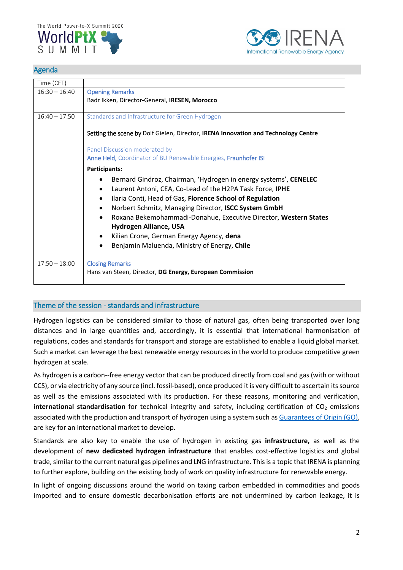



## Agenda

| Time (CET)      |                                                                                           |
|-----------------|-------------------------------------------------------------------------------------------|
| $16:30 - 16:40$ | <b>Opening Remarks</b>                                                                    |
|                 | Badr Ikken, Director-General, IRESEN, Morocco                                             |
| $16:40 - 17:50$ |                                                                                           |
|                 | Standards and Infrastructure for Green Hydrogen                                           |
|                 | Setting the scene by Dolf Gielen, Director, <b>IRENA Innovation and Technology Centre</b> |
|                 | Panel Discussion moderated by                                                             |
|                 | Anne Held, Coordinator of BU Renewable Energies, Fraunhofer ISI                           |
|                 | Participants:                                                                             |
|                 | Bernard Gindroz, Chairman, 'Hydrogen in energy systems', CENELEC                          |
|                 | Laurent Antoni, CEA, Co-Lead of the H2PA Task Force, IPHE<br>$\bullet$                    |
|                 | Ilaria Conti, Head of Gas, Florence School of Regulation                                  |
|                 | Norbert Schmitz, Managing Director, ISCC System GmbH                                      |
|                 | Roxana Bekemohammadi-Donahue, Executive Director, Western States                          |
|                 | <b>Hydrogen Alliance, USA</b>                                                             |
|                 | Kilian Crone, German Energy Agency, dena                                                  |
|                 | Benjamin Maluenda, Ministry of Energy, Chile                                              |
| $17:50 - 18:00$ | <b>Closing Remarks</b>                                                                    |
|                 | Hans van Steen, Director, DG Energy, European Commission                                  |
|                 |                                                                                           |

# Theme of the session - standards and infrastructure

Hydrogen logistics can be considered similar to those of natural gas, often being transported over long distances and in large quantities and, accordingly, it is essential that international harmonisation of regulations, codes and standards for transport and storage are established to enable a liquid global market. Such a market can leverage the best renewable energy resources in the world to produce competitive green hydrogen at scale.

As hydrogen is a carbon--free energy vector that can be produced directly from coal and gas (with or without CCS), or via electricity of any source (incl. fossil-based), once produced it is very difficult to ascertain its source as well as the emissions associated with its production. For these reasons, monitoring and verification, **international standardisation** for technical integrity and safety, including certification of CO<sub>2</sub> emissions associated with the production and transport of hydrogen using a system such a[s Guarantees of Origin \(GO\),](https://www.certifhy.eu/79-slideshow/118-what-is-a-guarantee-of-origin.html) are key for an international market to develop.

Standards are also key to enable the use of hydrogen in existing gas **infrastructure,** as well as the development of **new dedicated hydrogen infrastructure** that enables cost-effective logistics and global trade, similar to the current natural gas pipelines and LNG infrastructure. This is a topic that IRENA is planning to further explore, building on the existing body of work on quality infrastructure for renewable energy.

In light of ongoing discussions around the world on taxing carbon embedded in commodities and goods imported and to ensure domestic decarbonisation efforts are not undermined by carbon leakage, it is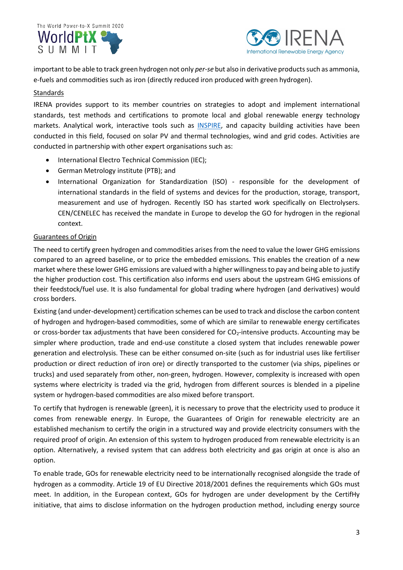SUMMIT



important to be able to track green hydrogen not only *per-se* but also in derivative products such as ammonia, e-fuels and commodities such as iron (directly reduced iron produced with green hydrogen).

# Standards

IRENA provides support to its member countries on strategies to adopt and implement international standards, test methods and certifications to promote local and global renewable energy technology markets. Analytical work, interactive tools such as **INSPIRE**, and capacity building activities have been conducted in this field, focused on solar PV and thermal technologies, wind and grid codes. Activities are conducted in partnership with other expert organisations such as:

- International Electro Technical Commission (IEC);
- German Metrology institute (PTB); and
- International Organization for Standardization (ISO) responsible for the development of international standards in the field of systems and devices for the production, storage, transport, measurement and use of hydrogen. Recently ISO has started work specifically on Electrolysers. CEN/CENELEC has received the mandate in Europe to develop the GO for hydrogen in the regional context.

# Guarantees of Origin

The need to certify green hydrogen and commodities arises from the need to value the lower GHG emissions compared to an agreed baseline, or to price the embedded emissions. This enables the creation of a new market where these lower GHG emissions are valued with a higher willingness to pay and being able to justify the higher production cost. This certification also informs end users about the upstream GHG emissions of their feedstock/fuel use. It is also fundamental for global trading where hydrogen (and derivatives) would cross borders.

Existing (and under-development) certification schemes can be used to track and disclose the carbon content of hydrogen and hydrogen-based commodities, some of which are similar to renewable energy certificates or cross-border tax adjustments that have been considered for CO<sub>2</sub>-intensive products. Accounting may be simpler where production, trade and end-use constitute a closed system that includes renewable power generation and electrolysis. These can be either consumed on-site (such as for industrial uses like fertiliser production or direct reduction of iron ore) or directly transported to the customer (via ships, pipelines or trucks) and used separately from other, non-green, hydrogen. However, complexity is increased with open systems where electricity is traded via the grid, hydrogen from different sources is blended in a pipeline system or hydrogen-based commodities are also mixed before transport.

To certify that hydrogen is renewable (green), it is necessary to prove that the electricity used to produce it comes from renewable energy. In Europe, the Guarantees of Origin for renewable electricity are an established mechanism to certify the origin in a structured way and provide electricity consumers with the required proof of origin. An extension of this system to hydrogen produced from renewable electricity is an option. Alternatively, a revised system that can address both electricity and gas origin at once is also an option.

To enable trade, GOs for renewable electricity need to be internationally recognised alongside the trade of hydrogen as a commodity. Article 19 of EU Directive 2018/2001 defines the requirements which GOs must meet. In addition, in the European context, GOs for hydrogen are under development by the CertifHy initiative, that aims to disclose information on the hydrogen production method, including energy source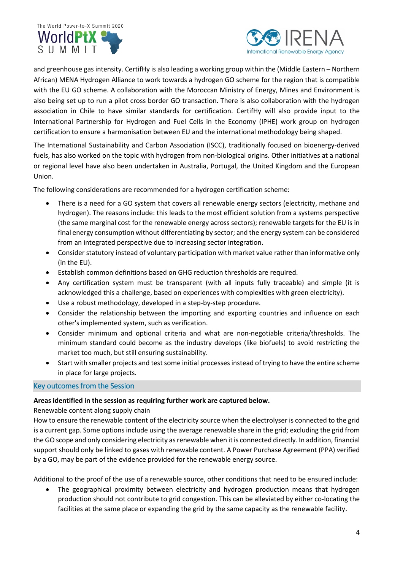



and greenhouse gas intensity. CertifHy is also leading a working group within the (Middle Eastern – Northern African) MENA Hydrogen Alliance to work towards a hydrogen GO scheme for the region that is compatible with the EU GO scheme. A collaboration with the Moroccan Ministry of Energy, Mines and Environment is also being set up to run a pilot cross border GO transaction. There is also collaboration with the hydrogen association in Chile to have similar standards for certification. CertifHy will also provide input to the International Partnership for Hydrogen and Fuel Cells in the Economy (IPHE) work group on hydrogen certification to ensure a harmonisation between EU and the international methodology being shaped.

The International Sustainability and Carbon Association (ISCC), traditionally focused on bioenergy-derived fuels, has also worked on the topic with hydrogen from non-biological origins. Other initiatives at a national or regional level have also been undertaken in Australia, Portugal, the United Kingdom and the European Union.

The following considerations are recommended for a hydrogen certification scheme:

- There is a need for a GO system that covers all renewable energy sectors (electricity, methane and hydrogen). The reasons include: this leads to the most efficient solution from a systems perspective (the same marginal cost for the renewable energy across sectors); renewable targets for the EU is in final energy consumption without differentiating by sector; and the energy system can be considered from an integrated perspective due to increasing sector integration.
- Consider statutory instead of voluntary participation with market value rather than informative only (in the EU).
- Establish common definitions based on GHG reduction thresholds are required.
- Any certification system must be transparent (with all inputs fully traceable) and simple (it is acknowledged this a challenge, based on experiences with complexities with green electricity).
- Use a robust methodology, developed in a step-by-step procedure.
- Consider the relationship between the importing and exporting countries and influence on each other's implemented system, such as verification.
- Consider minimum and optional criteria and what are non-negotiable criteria/thresholds. The minimum standard could become as the industry develops (like biofuels) to avoid restricting the market too much, but still ensuring sustainability.
- Start with smaller projects and test some initial processes instead of trying to have the entire scheme in place for large projects.

#### Key outcomes from the Session

#### **Areas identified in the session as requiring further work are captured below.**

#### Renewable content along supply chain

How to ensure the renewable content of the electricity source when the electrolyser is connected to the grid is a current gap. Some options include using the average renewable share in the grid; excluding the grid from the GO scope and only considering electricity as renewable when it is connected directly. In addition, financial support should only be linked to gases with renewable content. A Power Purchase Agreement (PPA) verified by a GO, may be part of the evidence provided for the renewable energy source.

Additional to the proof of the use of a renewable source, other conditions that need to be ensured include:

The geographical proximity between electricity and hydrogen production means that hydrogen production should not contribute to grid congestion. This can be alleviated by either co-locating the facilities at the same place or expanding the grid by the same capacity as the renewable facility.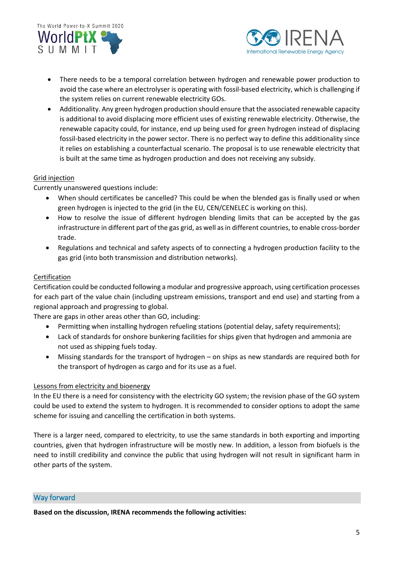



- There needs to be a temporal correlation between hydrogen and renewable power production to avoid the case where an electrolyser is operating with fossil-based electricity, which is challenging if the system relies on current renewable electricity GOs.
- Additionality. Any green hydrogen production should ensure that the associated renewable capacity is additional to avoid displacing more efficient uses of existing renewable electricity. Otherwise, the renewable capacity could, for instance, end up being used for green hydrogen instead of displacing fossil-based electricity in the power sector. There is no perfect way to define this additionality since it relies on establishing a counterfactual scenario. The proposal is to use renewable electricity that is built at the same time as hydrogen production and does not receiving any subsidy.

# Grid injection

Currently unanswered questions include:

- When should certificates be cancelled? This could be when the blended gas is finally used or when green hydrogen is injected to the grid (in the EU, CEN/CENELEC is working on this).
- How to resolve the issue of different hydrogen blending limits that can be accepted by the gas infrastructure in different part of the gas grid, as well as in different countries, to enable cross-border trade.
- Regulations and technical and safety aspects of to connecting a hydrogen production facility to the gas grid (into both transmission and distribution networks).

## **Certification**

Certification could be conducted following a modular and progressive approach, using certification processes for each part of the value chain (including upstream emissions, transport and end use) and starting from a regional approach and progressing to global.

There are gaps in other areas other than GO, including:

- Permitting when installing hydrogen refueling stations (potential delay, safety requirements);
- Lack of standards for onshore bunkering facilities for ships given that hydrogen and ammonia are not used as shipping fuels today.
- Missing standards for the transport of hydrogen on ships as new standards are required both for the transport of hydrogen as cargo and for its use as a fuel.

#### Lessons from electricity and bioenergy

In the EU there is a need for consistency with the electricity GO system; the revision phase of the GO system could be used to extend the system to hydrogen. It is recommended to consider options to adopt the same scheme for issuing and cancelling the certification in both systems.

There is a larger need, compared to electricity, to use the same standards in both exporting and importing countries, given that hydrogen infrastructure will be mostly new. In addition, a lesson from biofuels is the need to instill credibility and convince the public that using hydrogen will not result in significant harm in other parts of the system.

## Way forward

**Based on the discussion, IRENA recommends the following activities:**